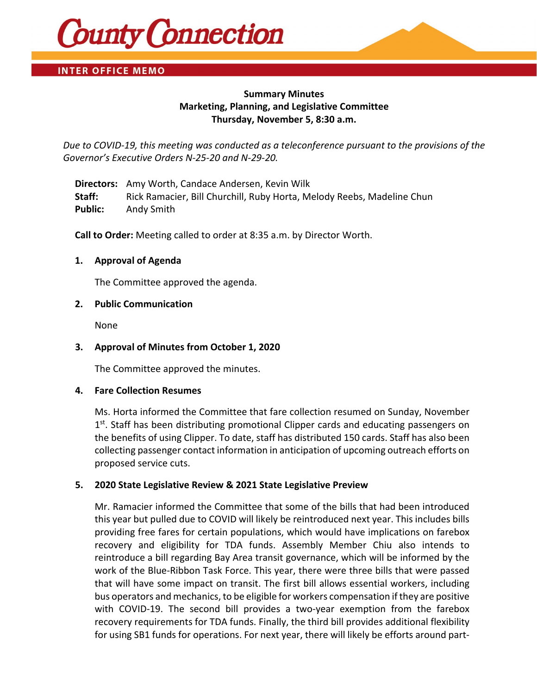

# **INTER OFFICE MEMO**

# **Summary Minutes Marketing, Planning, and Legislative Committee Thursday, November 5, 8:30 a.m.**

*Due to COVID-19, this meeting was conducted as a teleconference pursuant to the provisions of the Governor's Executive Orders N-25-20 and N-29-20.*

**Directors:** Amy Worth, Candace Andersen, Kevin Wilk **Staff:** Rick Ramacier, Bill Churchill, Ruby Horta, Melody Reebs, Madeline Chun **Public:** Andy Smith

**Call to Order:** Meeting called to order at 8:35 a.m. by Director Worth.

# **1. Approval of Agenda**

The Committee approved the agenda.

#### **2. Public Communication**

None

# **3. Approval of Minutes from October 1, 2020**

The Committee approved the minutes.

#### **4. Fare Collection Resumes**

Ms. Horta informed the Committee that fare collection resumed on Sunday, November  $1<sup>st</sup>$ . Staff has been distributing promotional Clipper cards and educating passengers on the benefits of using Clipper. To date, staff has distributed 150 cards. Staff has also been collecting passenger contact information in anticipation of upcoming outreach efforts on proposed service cuts.

# **5. 2020 State Legislative Review & 2021 State Legislative Preview**

Mr. Ramacier informed the Committee that some of the bills that had been introduced this year but pulled due to COVID will likely be reintroduced next year. This includes bills providing free fares for certain populations, which would have implications on farebox recovery and eligibility for TDA funds. Assembly Member Chiu also intends to reintroduce a bill regarding Bay Area transit governance, which will be informed by the work of the Blue-Ribbon Task Force. This year, there were three bills that were passed that will have some impact on transit. The first bill allows essential workers, including bus operators and mechanics, to be eligible for workers compensation if they are positive with COVID-19. The second bill provides a two-year exemption from the farebox recovery requirements for TDA funds. Finally, the third bill provides additional flexibility for using SB1 funds for operations. For next year, there will likely be efforts around part-